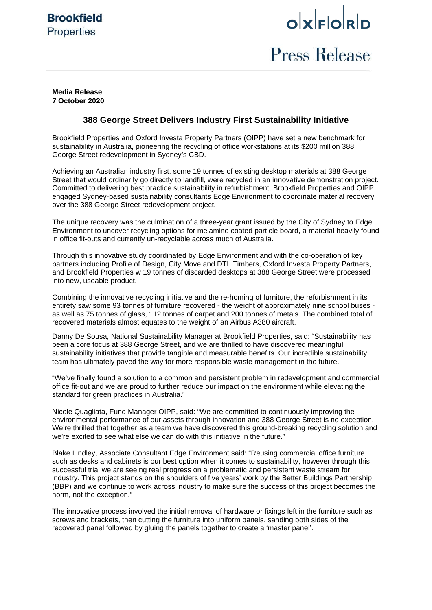# **Brookfield Properties**

# $o$ <sub>k</sub> $F$  $o$ <sub>k</sub> $p$

# **Press Release**

## **Media Release 7 October 2020**

# **388 George Street Delivers Industry First Sustainability Initiative**

Brookfield Properties and Oxford Investa Property Partners (OIPP) have set a new benchmark for sustainability in Australia, pioneering the recycling of office workstations at its \$200 million 388 George Street redevelopment in Sydney's CBD.

Achieving an Australian industry first, some 19 tonnes of existing desktop materials at 388 George Street that would ordinarily go directly to landfill, were recycled in an innovative demonstration project. Committed to delivering best practice sustainability in refurbishment, Brookfield Properties and OIPP engaged Sydney-based sustainability consultants Edge Environment to coordinate material recovery over the 388 George Street redevelopment project.

The unique recovery was the culmination of a three-year grant issued by the City of Sydney to Edge Environment to uncover recycling options for melamine coated particle board, a material heavily found in office fit-outs and currently un-recyclable across much of Australia.

Through this innovative study coordinated by Edge Environment and with the co-operation of key partners including Profile of Design, City Move and DTL Timbers, Oxford Investa Property Partners, and Brookfield Properties w 19 tonnes of discarded desktops at 388 George Street were processed into new, useable product.

Combining the innovative recycling initiative and the re-homing of furniture, the refurbishment in its entirety saw some 93 tonnes of furniture recovered - the weight of approximately nine school buses as well as 75 tonnes of glass, 112 tonnes of carpet and 200 tonnes of metals. The combined total of recovered materials almost equates to the weight of an Airbus A380 aircraft.

Danny De Sousa, National Sustainability Manager at Brookfield Properties, said: "Sustainability has been a core focus at 388 George Street, and we are thrilled to have discovered meaningful sustainability initiatives that provide tangible and measurable benefits. Our incredible sustainability team has ultimately paved the way for more responsible waste management in the future.

"We've finally found a solution to a common and persistent problem in redevelopment and commercial office fit-out and we are proud to further reduce our impact on the environment while elevating the standard for green practices in Australia."

Nicole Quagliata, Fund Manager OIPP, said: "We are committed to continuously improving the environmental performance of our assets through innovation and 388 George Street is no exception. We're thrilled that together as a team we have discovered this ground-breaking recycling solution and we're excited to see what else we can do with this initiative in the future."

Blake Lindley, Associate Consultant Edge Environment said: "Reusing commercial office furniture such as desks and cabinets is our best option when it comes to sustainability, however through this successful trial we are seeing real progress on a problematic and persistent waste stream for industry. This project stands on the shoulders of five years' work by the Better Buildings Partnership (BBP) and we continue to work across industry to make sure the success of this project becomes the norm, not the exception."

The innovative process involved the initial removal of hardware or fixings left in the furniture such as screws and brackets, then cutting the furniture into uniform panels, sanding both sides of the recovered panel followed by gluing the panels together to create a 'master panel'.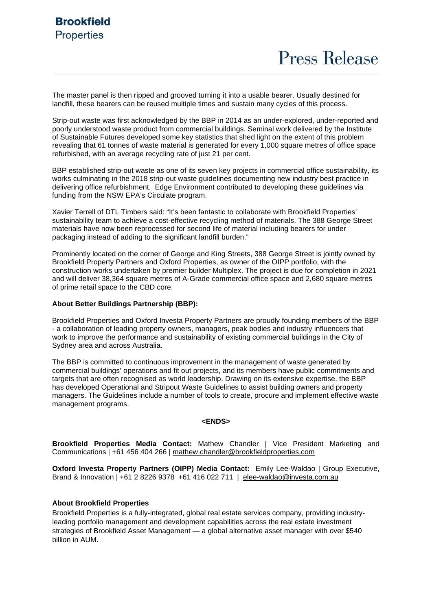The master panel is then ripped and grooved turning it into a usable bearer. Usually destined for landfill, these bearers can be reused multiple times and sustain many cycles of this process.

Strip-out waste was first acknowledged by the BBP in 2014 as an under-explored, under-reported and poorly understood waste product from commercial buildings. Seminal work delivered by the Institute of Sustainable Futures developed some key statistics that shed light on the extent of this problem revealing that 61 tonnes of waste material is generated for every 1,000 square metres of office space refurbished, with an average recycling rate of just 21 per cent.

BBP established strip-out waste as one of its seven key projects in commercial office sustainability, its works culminating in the 2018 strip-out waste guidelines documenting new industry best practice in delivering office refurbishment. Edge Environment contributed to developing these guidelines via funding from the NSW EPA's Circulate program.

Xavier Terrell of DTL Timbers said: "It's been fantastic to collaborate with Brookfield Properties' sustainability team to achieve a cost-effective recycling method of materials. The 388 George Street materials have now been reprocessed for second life of material including bearers for under packaging instead of adding to the significant landfill burden."

Prominently located on the corner of George and King Streets, 388 George Street is jointly owned by Brookfield Property Partners and Oxford Properties, as owner of the OIPP portfolio, with the construction works undertaken by premier builder Multiplex. The project is due for completion in 2021 and will deliver 38,364 square metres of A-Grade commercial office space and 2,680 square metres of prime retail space to the CBD core.

# **About Better Buildings Partnership (BBP):**

Brookfield Properties and Oxford Investa Property Partners are proudly founding members of the BBP - a collaboration of leading property owners, managers, peak bodies and industry influencers that work to improve the performance and sustainability of existing commercial buildings in the City of Sydney area and across Australia.

The BBP is committed to continuous improvement in the management of waste generated by commercial buildings' operations and fit out projects, and its members have public commitments and targets that are often recognised as world leadership. Drawing on its extensive expertise, the BBP has developed Operational and Stripout Waste Guidelines to assist building owners and property managers. The Guidelines include a number of tools to create, procure and implement effective waste management programs.

#### **<ENDS>**

**Brookfield Properties Media Contact:** Mathew Chandler | Vice President Marketing and Communications | +61 456 404 266 | [mathew.chandler@brookfieldproperties.com](mailto:mathew.chandler@brookfieldproperties.com)

**Oxford Investa Property Partners (OIPP) Media Contact:** Emily Lee-Waldao | Group Executive, Brand & Innovation | +61 2 8226 9378 +61 416 022 711 | [elee-waldao@investa.com.au](mailto:elee-waldao@investa.com.au)

## **About Brookfield Properties**

Brookfield Properties is a fully-integrated, global real estate services company, providing industryleading portfolio management and development capabilities across the real estate investment strategies of Brookfield Asset Management — a global alternative asset manager with over \$540 billion in AUM.